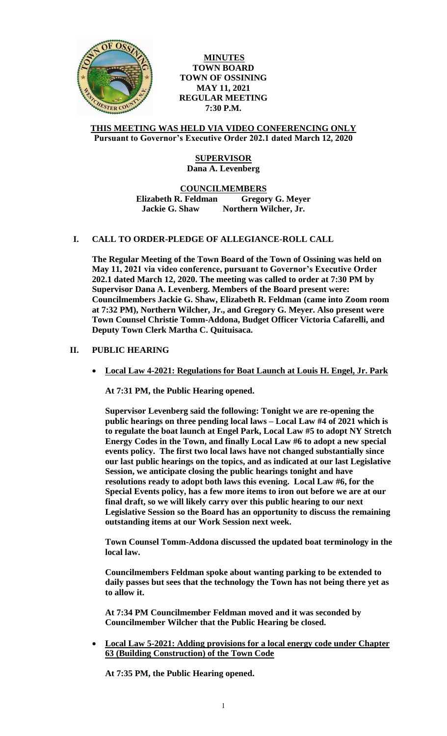

**MINUTES TOWN BOARD TOWN OF OSSINING MAY 11, 2021 REGULAR MEETING 7:30 P.M.**

### **THIS MEETING WAS HELD VIA VIDEO CONFERENCING ONLY Pursuant to Governor's Executive Order 202.1 dated March 12, 2020**

# **SUPERVISOR Dana A. Levenberg**

**COUNCILMEMBERS Elizabeth R. Feldman Gregory G. Meyer Jackie G. Shaw Northern Wilcher, Jr.**

# **I. CALL TO ORDER-PLEDGE OF ALLEGIANCE-ROLL CALL**

**The Regular Meeting of the Town Board of the Town of Ossining was held on May 11, 2021 via video conference, pursuant to Governor's Executive Order 202.1 dated March 12, 2020. The meeting was called to order at 7:30 PM by Supervisor Dana A. Levenberg. Members of the Board present were: Councilmembers Jackie G. Shaw, Elizabeth R. Feldman (came into Zoom room at 7:32 PM), Northern Wilcher, Jr., and Gregory G. Meyer. Also present were Town Counsel Christie Tomm-Addona, Budget Officer Victoria Cafarelli, and Deputy Town Clerk Martha C. Quituisaca.**

# **II. PUBLIC HEARING**

**Local Law 4-2021: Regulations for Boat Launch at Louis H. Engel, Jr. Park**

**At 7:31 PM, the Public Hearing opened.**

**Supervisor Levenberg said the following: Tonight we are re-opening the public hearings on three pending local laws – Local Law #4 of 2021 which is to regulate the boat launch at Engel Park, Local Law #5 to adopt NY Stretch Energy Codes in the Town, and finally Local Law #6 to adopt a new special events policy. The first two local laws have not changed substantially since our last public hearings on the topics, and as indicated at our last Legislative Session, we anticipate closing the public hearings tonight and have resolutions ready to adopt both laws this evening. Local Law #6, for the Special Events policy, has a few more items to iron out before we are at our final draft, so we will likely carry over this public hearing to our next Legislative Session so the Board has an opportunity to discuss the remaining outstanding items at our Work Session next week.** 

**Town Counsel Tomm-Addona discussed the updated boat terminology in the local law.**

**Councilmembers Feldman spoke about wanting parking to be extended to daily passes but sees that the technology the Town has not being there yet as to allow it.** 

**At 7:34 PM Councilmember Feldman moved and it was seconded by Councilmember Wilcher that the Public Hearing be closed.**

 **Local Law 5-2021: Adding provisions for a local energy code under Chapter 63 (Building Construction) of the Town Code**

**At 7:35 PM, the Public Hearing opened.**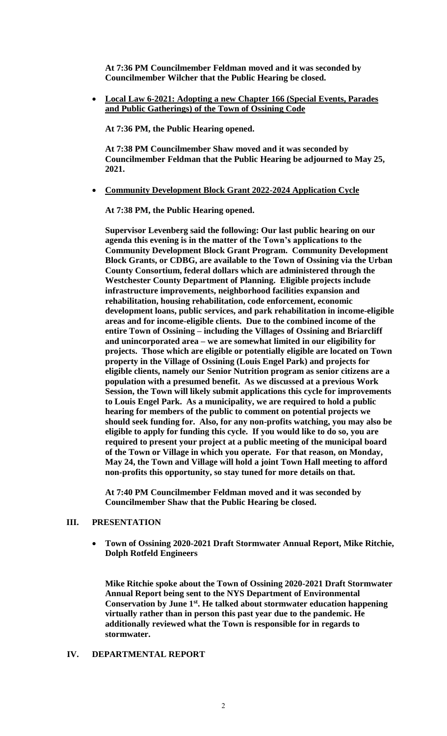**At 7:36 PM Councilmember Feldman moved and it was seconded by Councilmember Wilcher that the Public Hearing be closed.**

 **Local Law 6-2021: Adopting a new Chapter 166 (Special Events, Parades and Public Gatherings) of the Town of Ossining Code**

**At 7:36 PM, the Public Hearing opened.** 

**At 7:38 PM Councilmember Shaw moved and it was seconded by Councilmember Feldman that the Public Hearing be adjourned to May 25, 2021.**

**Community Development Block Grant 2022-2024 Application Cycle**

**At 7:38 PM, the Public Hearing opened.** 

**Supervisor Levenberg said the following: Our last public hearing on our agenda this evening is in the matter of the Town's applications to the Community Development Block Grant Program. Community Development Block Grants, or CDBG, are available to the Town of Ossining via the Urban County Consortium, federal dollars which are administered through the Westchester County Department of Planning. Eligible projects include infrastructure improvements, neighborhood facilities expansion and rehabilitation, housing rehabilitation, code enforcement, economic development loans, public services, and park rehabilitation in income-eligible areas and for income-eligible clients. Due to the combined income of the entire Town of Ossining – including the Villages of Ossining and Briarcliff and unincorporated area – we are somewhat limited in our eligibility for projects. Those which are eligible or potentially eligible are located on Town property in the Village of Ossining (Louis Engel Park) and projects for eligible clients, namely our Senior Nutrition program as senior citizens are a population with a presumed benefit. As we discussed at a previous Work Session, the Town will likely submit applications this cycle for improvements to Louis Engel Park. As a municipality, we are required to hold a public hearing for members of the public to comment on potential projects we should seek funding for. Also, for any non-profits watching, you may also be eligible to apply for funding this cycle. If you would like to do so, you are required to present your project at a public meeting of the municipal board of the Town or Village in which you operate. For that reason, on Monday, May 24, the Town and Village will hold a joint Town Hall meeting to afford non-profits this opportunity, so stay tuned for more details on that.** 

**At 7:40 PM Councilmember Feldman moved and it was seconded by Councilmember Shaw that the Public Hearing be closed.**

### **III. PRESENTATION**

 **Town of Ossining 2020-2021 Draft Stormwater Annual Report, Mike Ritchie, Dolph Rotfeld Engineers**

**Mike Ritchie spoke about the Town of Ossining 2020-2021 Draft Stormwater Annual Report being sent to the NYS Department of Environmental Conservation by June 1st. He talked about stormwater education happening virtually rather than in person this past year due to the pandemic. He additionally reviewed what the Town is responsible for in regards to stormwater.** 

# **IV. DEPARTMENTAL REPORT**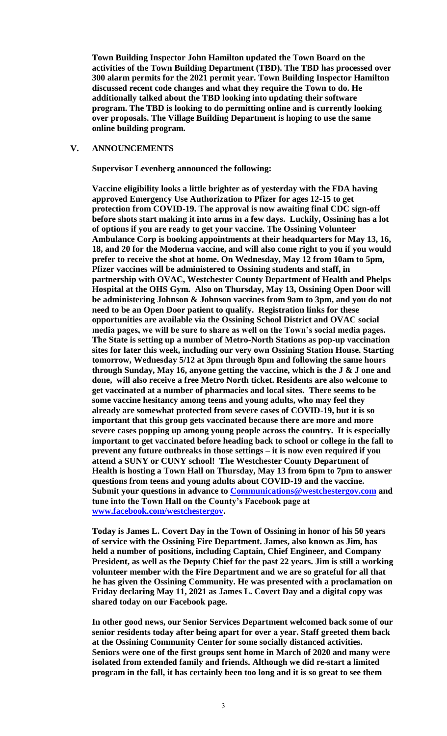**Town Building Inspector John Hamilton updated the Town Board on the activities of the Town Building Department (TBD). The TBD has processed over 300 alarm permits for the 2021 permit year. Town Building Inspector Hamilton discussed recent code changes and what they require the Town to do. He additionally talked about the TBD looking into updating their software program. The TBD is looking to do permitting online and is currently looking over proposals. The Village Building Department is hoping to use the same online building program.** 

### **V. ANNOUNCEMENTS**

**Supervisor Levenberg announced the following:**

**Vaccine eligibility looks a little brighter as of yesterday with the FDA having approved Emergency Use Authorization to Pfizer for ages 12-15 to get protection from COVID-19. The approval is now awaiting final CDC sign-off before shots start making it into arms in a few days. Luckily, Ossining has a lot of options if you are ready to get your vaccine. The Ossining Volunteer Ambulance Corp is booking appointments at their headquarters for May 13, 16, 18, and 20 for the Moderna vaccine, and will also come right to you if you would prefer to receive the shot at home. On Wednesday, May 12 from 10am to 5pm, Pfizer vaccines will be administered to Ossining students and staff, in partnership with OVAC, Westchester County Department of Health and Phelps Hospital at the OHS Gym. Also on Thursday, May 13, Ossining Open Door will be administering Johnson & Johnson vaccines from 9am to 3pm, and you do not need to be an Open Door patient to qualify. Registration links for these opportunities are available via the Ossining School District and OVAC social media pages, we will be sure to share as well on the Town's social media pages. The State is setting up a number of Metro-North Stations as pop-up vaccination sites for later this week, including our very own Ossining Station House. Starting tomorrow, Wednesday 5/12 at 3pm through 8pm and following the same hours through Sunday, May 16, anyone getting the vaccine, which is the J & J one and done, will also receive a free Metro North ticket. Residents are also welcome to get vaccinated at a number of pharmacies and local sites. There seems to be some vaccine hesitancy among teens and young adults, who may feel they already are somewhat protected from severe cases of COVID-19, but it is so important that this group gets vaccinated because there are more and more severe cases popping up among young people across the country. It is especially important to get vaccinated before heading back to school or college in the fall to prevent any future outbreaks in those settings – it is now even required if you attend a SUNY or CUNY school! The Westchester County Department of Health is hosting a Town Hall on Thursday, May 13 from 6pm to 7pm to answer questions from teens and young adults about COVID-19 and the vaccine. Submit your questions in advance to [Communications@westchestergov.com](mailto:Communications@westchestergov.com) and tune into the Town Hall on the County's Facebook page at [www.facebook.com/westchestergov.](http://www.facebook.com/westchestergov)** 

**Today is James L. Covert Day in the Town of Ossining in honor of his 50 years of service with the Ossining Fire Department. James, also known as Jim, has held a number of positions, including Captain, Chief Engineer, and Company President, as well as the Deputy Chief for the past 22 years. Jim is still a working volunteer member with the Fire Department and we are so grateful for all that he has given the Ossining Community. He was presented with a proclamation on Friday declaring May 11, 2021 as James L. Covert Day and a digital copy was shared today on our Facebook page.** 

**In other good news, our Senior Services Department welcomed back some of our senior residents today after being apart for over a year. Staff greeted them back at the Ossining Community Center for some socially distanced activities. Seniors were one of the first groups sent home in March of 2020 and many were isolated from extended family and friends. Although we did re-start a limited program in the fall, it has certainly been too long and it is so great to see them**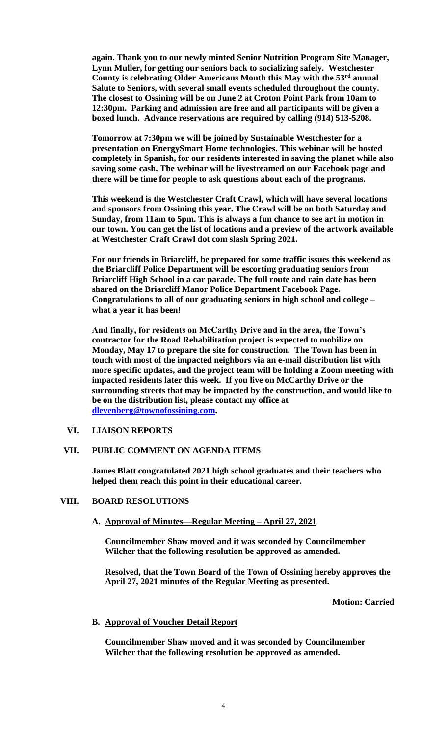**again. Thank you to our newly minted Senior Nutrition Program Site Manager, Lynn Muller, for getting our seniors back to socializing safely. Westchester County is celebrating Older Americans Month this May with the 53rd annual Salute to Seniors, with several small events scheduled throughout the county. The closest to Ossining will be on June 2 at Croton Point Park from 10am to 12:30pm. Parking and admission are free and all participants will be given a boxed lunch. Advance reservations are required by calling (914) 513-5208.**

**Tomorrow at 7:30pm we will be joined by Sustainable Westchester for a presentation on EnergySmart Home technologies. This webinar will be hosted completely in Spanish, for our residents interested in saving the planet while also saving some cash. The webinar will be livestreamed on our Facebook page and there will be time for people to ask questions about each of the programs.** 

**This weekend is the Westchester Craft Crawl, which will have several locations and sponsors from Ossining this year. The Crawl will be on both Saturday and Sunday, from 11am to 5pm. This is always a fun chance to see art in motion in our town. You can get the list of locations and a preview of the artwork available at Westchester Craft Crawl dot com slash Spring 2021.** 

**For our friends in Briarcliff, be prepared for some traffic issues this weekend as the Briarcliff Police Department will be escorting graduating seniors from Briarcliff High School in a car parade. The full route and rain date has been shared on the Briarcliff Manor Police Department Facebook Page. Congratulations to all of our graduating seniors in high school and college – what a year it has been!** 

**And finally, for residents on McCarthy Drive and in the area, the Town's contractor for the Road Rehabilitation project is expected to mobilize on Monday, May 17 to prepare the site for construction. The Town has been in touch with most of the impacted neighbors via an e-mail distribution list with more specific updates, and the project team will be holding a Zoom meeting with impacted residents later this week. If you live on McCarthy Drive or the surrounding streets that may be impacted by the construction, and would like to be on the distribution list, please contact my office at [dlevenberg@townofossining.com.](mailto:dlevenberg@townofossining.com)** 

# **VI. LIAISON REPORTS**

# **VII. PUBLIC COMMENT ON AGENDA ITEMS**

**James Blatt congratulated 2021 high school graduates and their teachers who helped them reach this point in their educational career.**

#### **VIII. BOARD RESOLUTIONS**

#### **A. Approval of Minutes—Regular Meeting – April 27, 2021**

**Councilmember Shaw moved and it was seconded by Councilmember Wilcher that the following resolution be approved as amended.** 

**Resolved, that the Town Board of the Town of Ossining hereby approves the April 27, 2021 minutes of the Regular Meeting as presented.**

**Motion: Carried**

#### **B. Approval of Voucher Detail Report**

**Councilmember Shaw moved and it was seconded by Councilmember Wilcher that the following resolution be approved as amended.**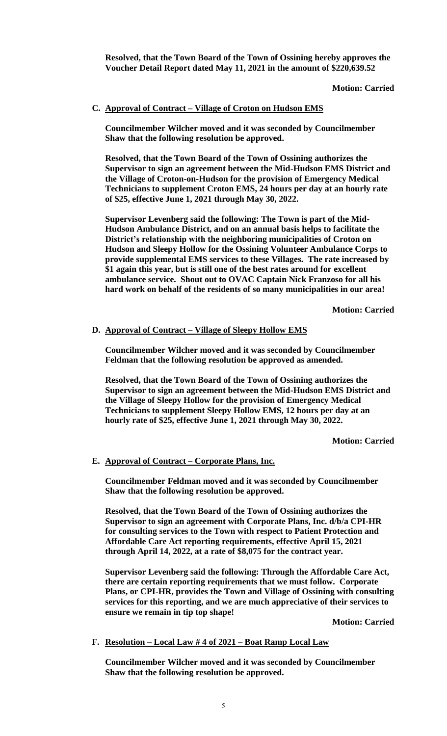**Resolved, that the Town Board of the Town of Ossining hereby approves the Voucher Detail Report dated May 11, 2021 in the amount of \$220,639.52**

#### **Motion: Carried**

#### **C. Approval of Contract – Village of Croton on Hudson EMS**

**Councilmember Wilcher moved and it was seconded by Councilmember Shaw that the following resolution be approved.** 

**Resolved, that the Town Board of the Town of Ossining authorizes the Supervisor to sign an agreement between the Mid-Hudson EMS District and the Village of Croton-on-Hudson for the provision of Emergency Medical Technicians to supplement Croton EMS, 24 hours per day at an hourly rate of \$25, effective June 1, 2021 through May 30, 2022.** 

**Supervisor Levenberg said the following: The Town is part of the Mid-Hudson Ambulance District, and on an annual basis helps to facilitate the District's relationship with the neighboring municipalities of Croton on Hudson and Sleepy Hollow for the Ossining Volunteer Ambulance Corps to provide supplemental EMS services to these Villages. The rate increased by \$1 again this year, but is still one of the best rates around for excellent ambulance service. Shout out to OVAC Captain Nick Franzoso for all his hard work on behalf of the residents of so many municipalities in our area!**

**Motion: Carried**

### **D. Approval of Contract – Village of Sleepy Hollow EMS**

**Councilmember Wilcher moved and it was seconded by Councilmember Feldman that the following resolution be approved as amended.** 

**Resolved, that the Town Board of the Town of Ossining authorizes the Supervisor to sign an agreement between the Mid-Hudson EMS District and the Village of Sleepy Hollow for the provision of Emergency Medical Technicians to supplement Sleepy Hollow EMS, 12 hours per day at an hourly rate of \$25, effective June 1, 2021 through May 30, 2022.** 

**Motion: Carried**

#### **E. Approval of Contract – Corporate Plans, Inc.**

**Councilmember Feldman moved and it was seconded by Councilmember Shaw that the following resolution be approved.**

**Resolved, that the Town Board of the Town of Ossining authorizes the Supervisor to sign an agreement with Corporate Plans, Inc. d/b/a CPI-HR for consulting services to the Town with respect to Patient Protection and Affordable Care Act reporting requirements, effective April 15, 2021 through April 14, 2022, at a rate of \$8,075 for the contract year.**

**Supervisor Levenberg said the following: Through the Affordable Care Act, there are certain reporting requirements that we must follow. Corporate Plans, or CPI-HR, provides the Town and Village of Ossining with consulting services for this reporting, and we are much appreciative of their services to ensure we remain in tip top shape!**

**Motion: Carried**

**F. Resolution – Local Law # 4 of 2021 – Boat Ramp Local Law**

**Councilmember Wilcher moved and it was seconded by Councilmember Shaw that the following resolution be approved.**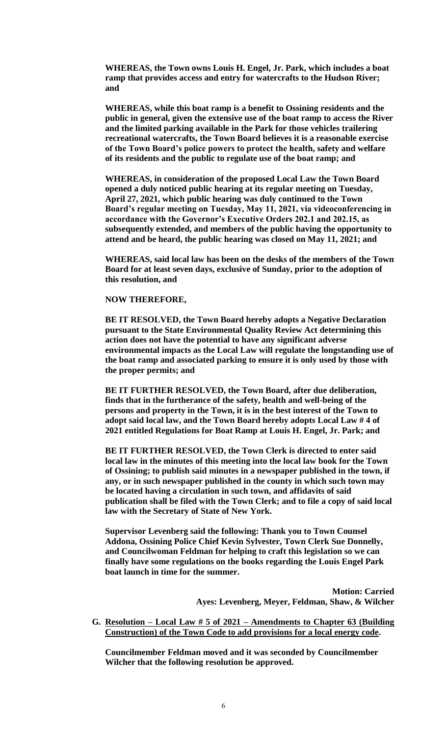**WHEREAS, the Town owns Louis H. Engel, Jr. Park, which includes a boat ramp that provides access and entry for watercrafts to the Hudson River; and**

**WHEREAS, while this boat ramp is a benefit to Ossining residents and the public in general, given the extensive use of the boat ramp to access the River and the limited parking available in the Park for those vehicles trailering recreational watercrafts, the Town Board believes it is a reasonable exercise of the Town Board's police powers to protect the health, safety and welfare of its residents and the public to regulate use of the boat ramp; and**

**WHEREAS, in consideration of the proposed Local Law the Town Board opened a duly noticed public hearing at its regular meeting on Tuesday, April 27, 2021, which public hearing was duly continued to the Town Board's regular meeting on Tuesday, May 11, 2021, via videoconferencing in accordance with the Governor's Executive Orders 202.1 and 202.15, as subsequently extended, and members of the public having the opportunity to attend and be heard, the public hearing was closed on May 11, 2021; and**

**WHEREAS, said local law has been on the desks of the members of the Town Board for at least seven days, exclusive of Sunday, prior to the adoption of this resolution, and**

#### **NOW THEREFORE,**

**BE IT RESOLVED, the Town Board hereby adopts a Negative Declaration pursuant to the State Environmental Quality Review Act determining this action does not have the potential to have any significant adverse environmental impacts as the Local Law will regulate the longstanding use of the boat ramp and associated parking to ensure it is only used by those with the proper permits; and**

**BE IT FURTHER RESOLVED, the Town Board, after due deliberation, finds that in the furtherance of the safety, health and well-being of the persons and property in the Town, it is in the best interest of the Town to adopt said local law, and the Town Board hereby adopts Local Law # 4 of 2021 entitled Regulations for Boat Ramp at Louis H. Engel, Jr. Park; and** 

**BE IT FURTHER RESOLVED, the Town Clerk is directed to enter said local law in the minutes of this meeting into the local law book for the Town of Ossining; to publish said minutes in a newspaper published in the town, if any, or in such newspaper published in the county in which such town may be located having a circulation in such town, and affidavits of said publication shall be filed with the Town Clerk; and to file a copy of said local law with the Secretary of State of New York.**

**Supervisor Levenberg said the following: Thank you to Town Counsel Addona, Ossining Police Chief Kevin Sylvester, Town Clerk Sue Donnelly, and Councilwoman Feldman for helping to craft this legislation so we can finally have some regulations on the books regarding the Louis Engel Park boat launch in time for the summer.** 

> **Motion: Carried Ayes: Levenberg, Meyer, Feldman, Shaw, & Wilcher**

**G. Resolution – Local Law # 5 of 2021 – Amendments to Chapter 63 (Building Construction) of the Town Code to add provisions for a local energy code.**

**Councilmember Feldman moved and it was seconded by Councilmember Wilcher that the following resolution be approved.**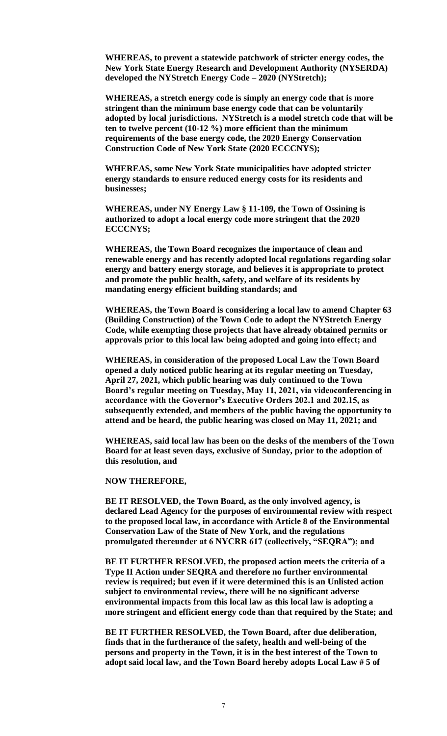**WHEREAS, to prevent a statewide patchwork of stricter energy codes, the New York State Energy Research and Development Authority (NYSERDA) developed the NYStretch Energy Code – 2020 (NYStretch);** 

**WHEREAS, a stretch energy code is simply an energy code that is more stringent than the minimum base energy code that can be voluntarily adopted by local jurisdictions. NYStretch is a model stretch code that will be ten to twelve percent (10-12 %) more efficient than the minimum requirements of the base energy code, the 2020 Energy Conservation Construction Code of New York State (2020 ECCCNYS);** 

**WHEREAS, some New York State municipalities have adopted stricter energy standards to ensure reduced energy costs for its residents and businesses;**

**WHEREAS, under NY Energy Law § 11-109, the Town of Ossining is authorized to adopt a local energy code more stringent that the 2020 ECCCNYS;**

**WHEREAS, the Town Board recognizes the importance of clean and renewable energy and has recently adopted local regulations regarding solar energy and battery energy storage, and believes it is appropriate to protect and promote the public health, safety, and welfare of its residents by mandating energy efficient building standards; and**

**WHEREAS, the Town Board is considering a local law to amend Chapter 63 (Building Construction) of the Town Code to adopt the NYStretch Energy Code, while exempting those projects that have already obtained permits or approvals prior to this local law being adopted and going into effect; and**

**WHEREAS, in consideration of the proposed Local Law the Town Board opened a duly noticed public hearing at its regular meeting on Tuesday, April 27, 2021, which public hearing was duly continued to the Town Board's regular meeting on Tuesday, May 11, 2021, via videoconferencing in accordance with the Governor's Executive Orders 202.1 and 202.15, as subsequently extended, and members of the public having the opportunity to attend and be heard, the public hearing was closed on May 11, 2021; and**

**WHEREAS, said local law has been on the desks of the members of the Town Board for at least seven days, exclusive of Sunday, prior to the adoption of this resolution, and**

**NOW THEREFORE,**

**BE IT RESOLVED, the Town Board, as the only involved agency, is declared Lead Agency for the purposes of environmental review with respect to the proposed local law, in accordance with Article 8 of the Environmental Conservation Law of the State of New York, and the regulations promulgated thereunder at 6 NYCRR 617 (collectively, "SEQRA"); and** 

**BE IT FURTHER RESOLVED, the proposed action meets the criteria of a Type II Action under SEQRA and therefore no further environmental review is required; but even if it were determined this is an Unlisted action subject to environmental review, there will be no significant adverse environmental impacts from this local law as this local law is adopting a more stringent and efficient energy code than that required by the State; and**

**BE IT FURTHER RESOLVED, the Town Board, after due deliberation, finds that in the furtherance of the safety, health and well-being of the persons and property in the Town, it is in the best interest of the Town to adopt said local law, and the Town Board hereby adopts Local Law # 5 of**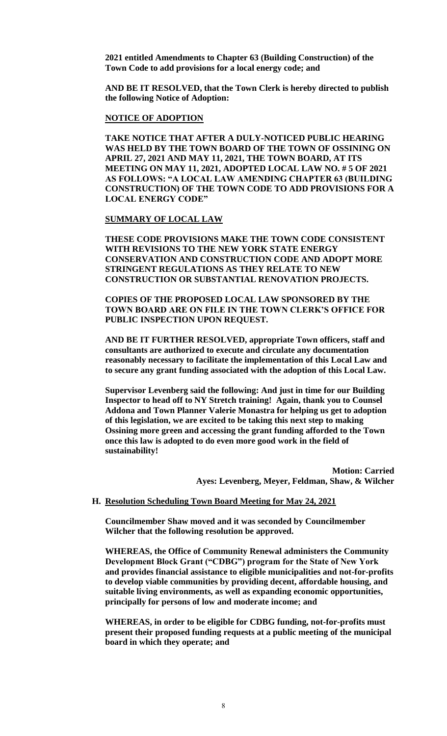**2021 entitled Amendments to Chapter 63 (Building Construction) of the Town Code to add provisions for a local energy code; and** 

**AND BE IT RESOLVED, that the Town Clerk is hereby directed to publish the following Notice of Adoption:**

#### **NOTICE OF ADOPTION**

**TAKE NOTICE THAT AFTER A DULY-NOTICED PUBLIC HEARING WAS HELD BY THE TOWN BOARD OF THE TOWN OF OSSINING ON APRIL 27, 2021 AND MAY 11, 2021, THE TOWN BOARD, AT ITS MEETING ON MAY 11, 2021, ADOPTED LOCAL LAW NO. # 5 OF 2021 AS FOLLOWS: "A LOCAL LAW AMENDING CHAPTER 63 (BUILDING CONSTRUCTION) OF THE TOWN CODE TO ADD PROVISIONS FOR A LOCAL ENERGY CODE"**

#### **SUMMARY OF LOCAL LAW**

**THESE CODE PROVISIONS MAKE THE TOWN CODE CONSISTENT WITH REVISIONS TO THE NEW YORK STATE ENERGY CONSERVATION AND CONSTRUCTION CODE AND ADOPT MORE STRINGENT REGULATIONS AS THEY RELATE TO NEW CONSTRUCTION OR SUBSTANTIAL RENOVATION PROJECTS.** 

**COPIES OF THE PROPOSED LOCAL LAW SPONSORED BY THE TOWN BOARD ARE ON FILE IN THE TOWN CLERK'S OFFICE FOR PUBLIC INSPECTION UPON REQUEST.**

**AND BE IT FURTHER RESOLVED, appropriate Town officers, staff and consultants are authorized to execute and circulate any documentation reasonably necessary to facilitate the implementation of this Local Law and to secure any grant funding associated with the adoption of this Local Law.** 

**Supervisor Levenberg said the following: And just in time for our Building Inspector to head off to NY Stretch training! Again, thank you to Counsel Addona and Town Planner Valerie Monastra for helping us get to adoption of this legislation, we are excited to be taking this next step to making Ossining more green and accessing the grant funding afforded to the Town once this law is adopted to do even more good work in the field of sustainability!**

> **Motion: Carried Ayes: Levenberg, Meyer, Feldman, Shaw, & Wilcher**

# **H. Resolution Scheduling Town Board Meeting for May 24, 2021**

**Councilmember Shaw moved and it was seconded by Councilmember Wilcher that the following resolution be approved.**

**WHEREAS, the Office of Community Renewal administers the Community Development Block Grant ("CDBG") program for the State of New York and provides financial assistance to eligible municipalities and not-for-profits to develop viable communities by providing decent, affordable housing, and suitable living environments, as well as expanding economic opportunities, principally for persons of low and moderate income; and**

**WHEREAS, in order to be eligible for CDBG funding, not-for-profits must present their proposed funding requests at a public meeting of the municipal board in which they operate; and**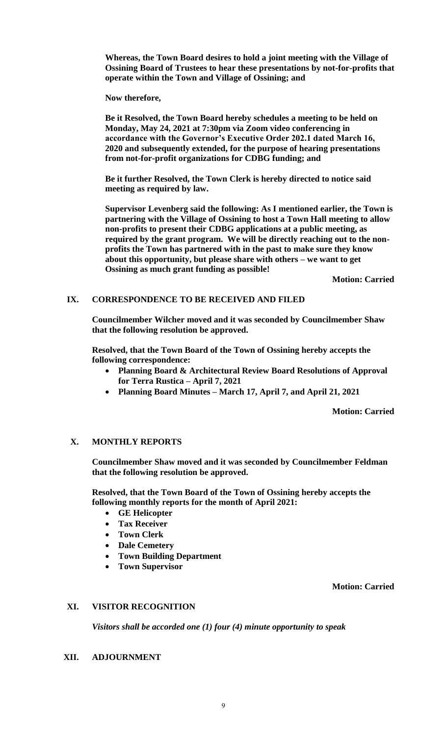**Whereas, the Town Board desires to hold a joint meeting with the Village of Ossining Board of Trustees to hear these presentations by not-for-profits that operate within the Town and Village of Ossining; and**

**Now therefore,**

**Be it Resolved, the Town Board hereby schedules a meeting to be held on Monday, May 24, 2021 at 7:30pm via Zoom video conferencing in accordance with the Governor's Executive Order 202.1 dated March 16, 2020 and subsequently extended, for the purpose of hearing presentations from not-for-profit organizations for CDBG funding; and**

**Be it further Resolved, the Town Clerk is hereby directed to notice said meeting as required by law.** 

**Supervisor Levenberg said the following: As I mentioned earlier, the Town is partnering with the Village of Ossining to host a Town Hall meeting to allow non-profits to present their CDBG applications at a public meeting, as required by the grant program. We will be directly reaching out to the nonprofits the Town has partnered with in the past to make sure they know about this opportunity, but please share with others – we want to get Ossining as much grant funding as possible!**

**Motion: Carried**

# **IX. CORRESPONDENCE TO BE RECEIVED AND FILED**

**Councilmember Wilcher moved and it was seconded by Councilmember Shaw that the following resolution be approved.**

**Resolved, that the Town Board of the Town of Ossining hereby accepts the following correspondence:**

- **Planning Board & Architectural Review Board Resolutions of Approval for Terra Rustica – April 7, 2021**
- **Planning Board Minutes – March 17, April 7, and April 21, 2021**

**Motion: Carried**

#### **X. MONTHLY REPORTS**

**Councilmember Shaw moved and it was seconded by Councilmember Feldman that the following resolution be approved.**

**Resolved, that the Town Board of the Town of Ossining hereby accepts the following monthly reports for the month of April 2021:**

- **GE Helicopter**
- **Tax Receiver**
- **Town Clerk**
- **Dale Cemetery**
- **Town Building Department**
- **Town Supervisor**

**Motion: Carried**

# **XI. VISITOR RECOGNITION**

*Visitors shall be accorded one (1) four (4) minute opportunity to speak*

#### **XII. ADJOURNMENT**